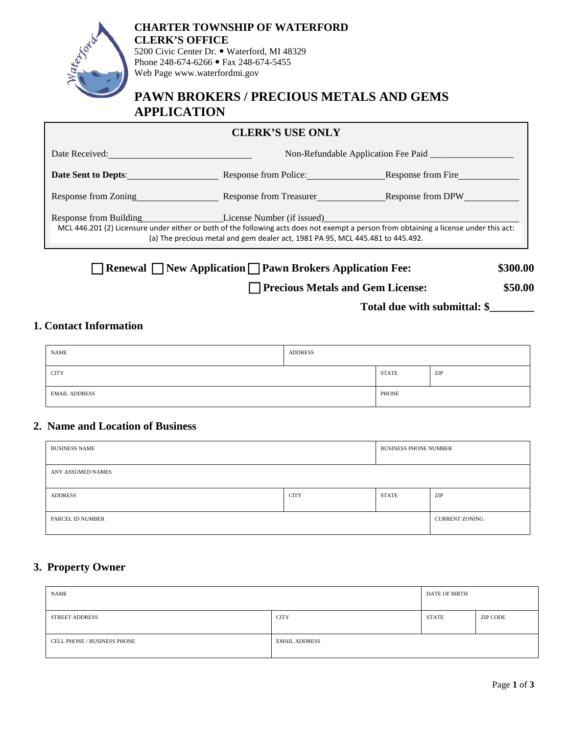

Web Page www.waterfordmi.gov

# **PAWN BROKERS / PRECIOUS METALS AND GEMS APPLICATION**

# **CLERK'S USE ONLY**

| Date Received:                                         | Non-Refundable Application Fee Paid                                                                                                                                                                                                                    |                    |  |
|--------------------------------------------------------|--------------------------------------------------------------------------------------------------------------------------------------------------------------------------------------------------------------------------------------------------------|--------------------|--|
| <b>Date Sent to Depts:</b>                             | Response from Police:                                                                                                                                                                                                                                  | Response from Fire |  |
| Response from Zoning                                   | Response from Treasurer                                                                                                                                                                                                                                | Response from DPW  |  |
| Response from Building<br>the contract of the contract | License Number (if issued)<br>MCL 446.201 (2) Licensure under either or both of the following acts does not exempt a person from obtaining a license under this act:<br>(a) The precious metal and gem dealer act, 1981 PA 95, MCL 445.481 to 445.492. |                    |  |

**Renewal I New Application I Pawn Brokers Application Fee:** \$300.00

**Precious Metals and Gem License: \$50.00**

**Total due with submittal: \$\_\_\_\_\_\_\_\_**

# **1. Contact Information**

| <b>NAME</b>          | <b>ADDRESS</b> |              |     |
|----------------------|----------------|--------------|-----|
| <b>CITY</b>          |                | <b>STATE</b> | ZIP |
| <b>EMAIL ADDRESS</b> |                | PHONE        |     |

# **2. Name and Location of Business**

| <b>BUSINESS NAME</b> |             | <b>BUSINESS PHONE NUMBER</b> |                       |
|----------------------|-------------|------------------------------|-----------------------|
| ANY ASSUMED NAMES    |             |                              |                       |
| ADDRESS              | <b>CITY</b> | <b>STATE</b>                 | ZIP                   |
| PARCEL ID NUMBER     |             |                              | <b>CURRENT ZONING</b> |

# **3. Property Owner**

| <b>NAME</b>                 |                      | DATE OF BIRTH |          |
|-----------------------------|----------------------|---------------|----------|
| <b>STREET ADDRESS</b>       | <b>CITY</b>          | <b>STATE</b>  | ZIP CODE |
| CELL PHONE / BUSINESS PHONE | <b>EMAIL ADDRESS</b> |               |          |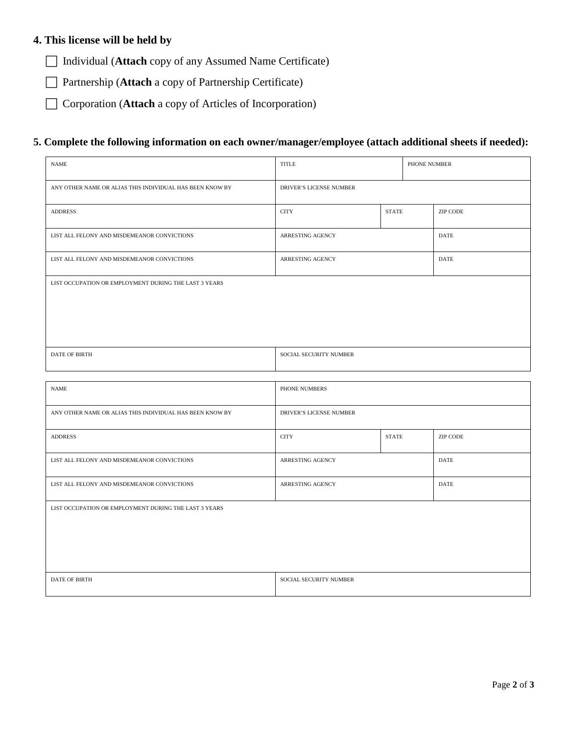#### **4. This license will be held by**

Individual (**Attach** copy of any Assumed Name Certificate)

□ Partnership (**Attach** a copy of Partnership Certificate)

□ Corporation (**Attach** a copy of Articles of Incorporation)

#### **5. Complete the following information on each owner/manager/employee (attach additional sheets if needed):**

| <b>NAME</b>                                              | TITLE                          |              | PHONE NUMBER |             |
|----------------------------------------------------------|--------------------------------|--------------|--------------|-------------|
| ANY OTHER NAME OR ALIAS THIS INDIVIDUAL HAS BEEN KNOW BY | <b>DRIVER'S LICENSE NUMBER</b> |              |              |             |
| <b>ADDRESS</b>                                           | <b>CITY</b>                    | <b>STATE</b> |              | ZIP CODE    |
| LIST ALL FELONY AND MISDEMEANOR CONVICTIONS              | <b>ARRESTING AGENCY</b>        |              |              | <b>DATE</b> |
| LIST ALL FELONY AND MISDEMEANOR CONVICTIONS              | <b>ARRESTING AGENCY</b>        |              |              | <b>DATE</b> |
| LIST OCCUPATION OR EMPLOYMENT DURING THE LAST 3 YEARS    |                                |              |              |             |
| <b>DATE OF BIRTH</b>                                     | SOCIAL SECURITY NUMBER         |              |              |             |
|                                                          |                                |              |              |             |
| <b>NAME</b>                                              | PHONE NUMBERS                  |              |              |             |
| ANY OTHER NAME OR ALIAS THIS INDIVIDUAL HAS BEEN KNOW BY | <b>DRIVER'S LICENSE NUMBER</b> |              |              |             |

| <b>DAT</b><br>7 BIRT1. | <b>IMBER</b><br>URI<br>IAL SEC<br>SU. |
|------------------------|---------------------------------------|
|                        |                                       |

ADDRESS 2IP CODE 2IP CODE 2IP CODE 2IP CODE 2IP CODE 2IP CODE 2IP CODE 2IP CODE

LIST ALL FELONY AND MISDEMEANOR CONVICTIONS ARRESTING AGENCY DATE

LIST ALL FELONY AND MISDEMEANOR CONVICTIONS ARRESTING AGENCY DATE

LIST OCCUPATION OR EMPLOYMENT DURING THE LAST 3 YEARS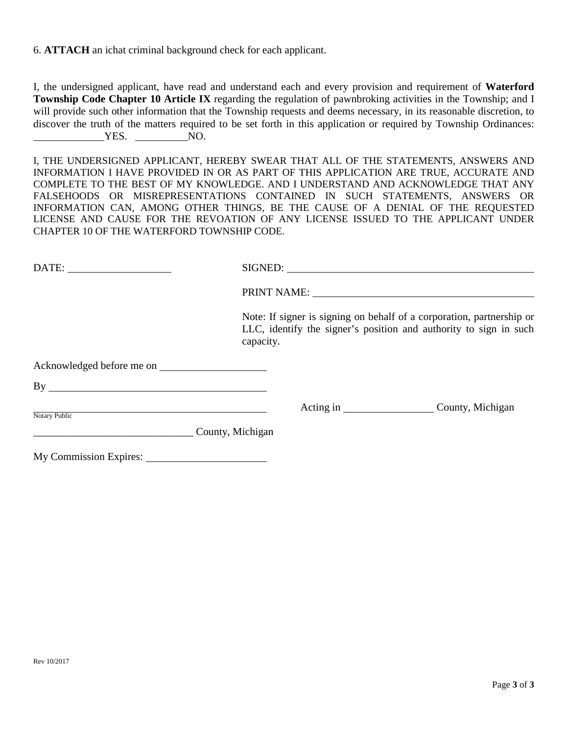6. **ATTACH** an ichat criminal background check for each applicant.

I, the undersigned applicant, have read and understand each and every provision and requirement of **Waterford Township Code Chapter 10 Article IX** regarding the regulation of pawnbroking activities in the Township; and I will provide such other information that the Township requests and deems necessary, in its reasonable discretion, to discover the truth of the matters required to be set forth in this application or required by Township Ordinances: YES. NO.

I, THE UNDERSIGNED APPLICANT, HEREBY SWEAR THAT ALL OF THE STATEMENTS, ANSWERS AND INFORMATION I HAVE PROVIDED IN OR AS PART OF THIS APPLICATION ARE TRUE, ACCURATE AND COMPLETE TO THE BEST OF MY KNOWLEDGE. AND I UNDERSTAND AND ACKNOWLEDGE THAT ANY FALSEHOODS OR MISREPRESENTATIONS CONTAINED IN SUCH STATEMENTS, ANSWERS OR INFORMATION CAN, AMONG OTHER THINGS, BE THE CAUSE OF A DENIAL OF THE REQUESTED LICENSE AND CAUSE FOR THE REVOATION OF ANY LICENSE ISSUED TO THE APPLICANT UNDER CHAPTER 10 OF THE WATERFORD TOWNSHIP CODE.

|                  | PRINT NAME: University of the Community of the Community of the Community of the Community of the Community of                                          |                            |
|------------------|---------------------------------------------------------------------------------------------------------------------------------------------------------|----------------------------|
|                  | Note: If signer is signing on behalf of a corporation, partnership or<br>LLC, identify the signer's position and authority to sign in such<br>capacity. |                            |
|                  |                                                                                                                                                         |                            |
| By               |                                                                                                                                                         |                            |
| Notary Public    |                                                                                                                                                         | Acting in County, Michigan |
| County, Michigan |                                                                                                                                                         |                            |
|                  |                                                                                                                                                         |                            |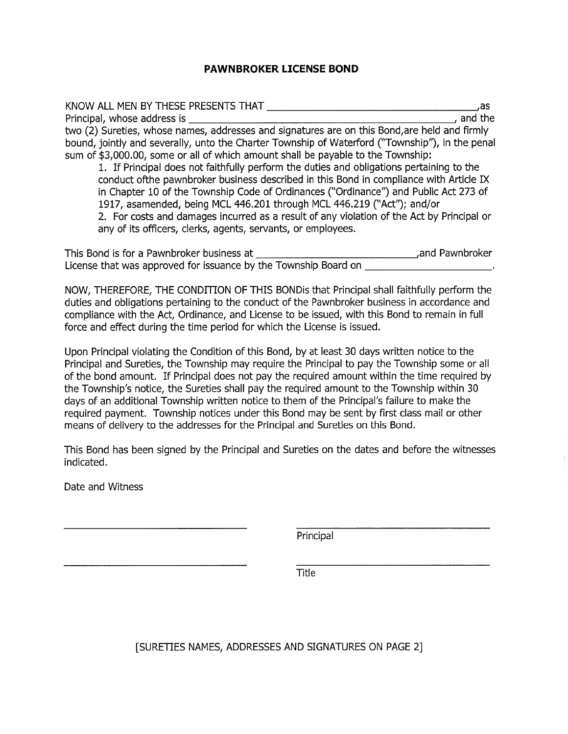#### **PAWNBROKER LICENSE BOND**

| KNOW ALL MEN BY THESE PRESENTS THAT                                                             | as.     |
|-------------------------------------------------------------------------------------------------|---------|
| Principal, whose address is                                                                     | and the |
| two (2) Sureties, whose names, addresses and signatures are on this Bond, are held and firmly   |         |
| bound, jointly and severally, unto the Charter Township of Waterford ("Township"), in the penal |         |
| sum of \$3,000.00, some or all of which amount shall be payable to the Township:                |         |
| 1. If Principal does not faithfully perform the duties and obligations pertaining to the        |         |

conduct of the pawnbroker business described in this Bond in compliance with Article IX in Chapter 10 of the Township Code of Ordinances ("Ordinance") and Public Act 273 of 1917, asamended, being MCL 446.201 through MCL 446.219 ("Act"); and/or 2. For costs and damages incurred as a result of any violation of the Act by Principal or any of its officers, clerks, agents, servants, or employees.

| This Bond is for a Pawnbroker business at                       | and Pawnbroker. |
|-----------------------------------------------------------------|-----------------|
| License that was approved for issuance by the Township Board on |                 |

NOW, THEREFORE, THE CONDITION OF THIS BONDis that Principal shall faithfully perform the duties and obligations pertaining to the conduct of the Pawnbroker business in accordance and compliance with the Act, Ordinance, and License to be issued, with this Bond to remain in full force and effect during the time period for which the License is issued.

Upon Principal violating the Condition of this Bond, by at least 30 days written notice to the Principal and Sureties, the Township may require the Principal to pay the Township some or all of the bond amount. If Principal does not pay the required amount within the time required by the Township's notice, the Sureties shall pay the required amount to the Township within 30 days of an additional Township written notice to them of the Principal's failure to make the required payment. Township notices under this Bond may be sent by first class mail or other means of delivery to the addresses for the Principal and Sureties on this Bond.

This Bond has been signed by the Principal and Sureties on the dates and before the witnesses indicated.

Date and Witness

Principal

**Title** 

[SURETIES NAMES, ADDRESSES AND SIGNATURES ON PAGE 2]